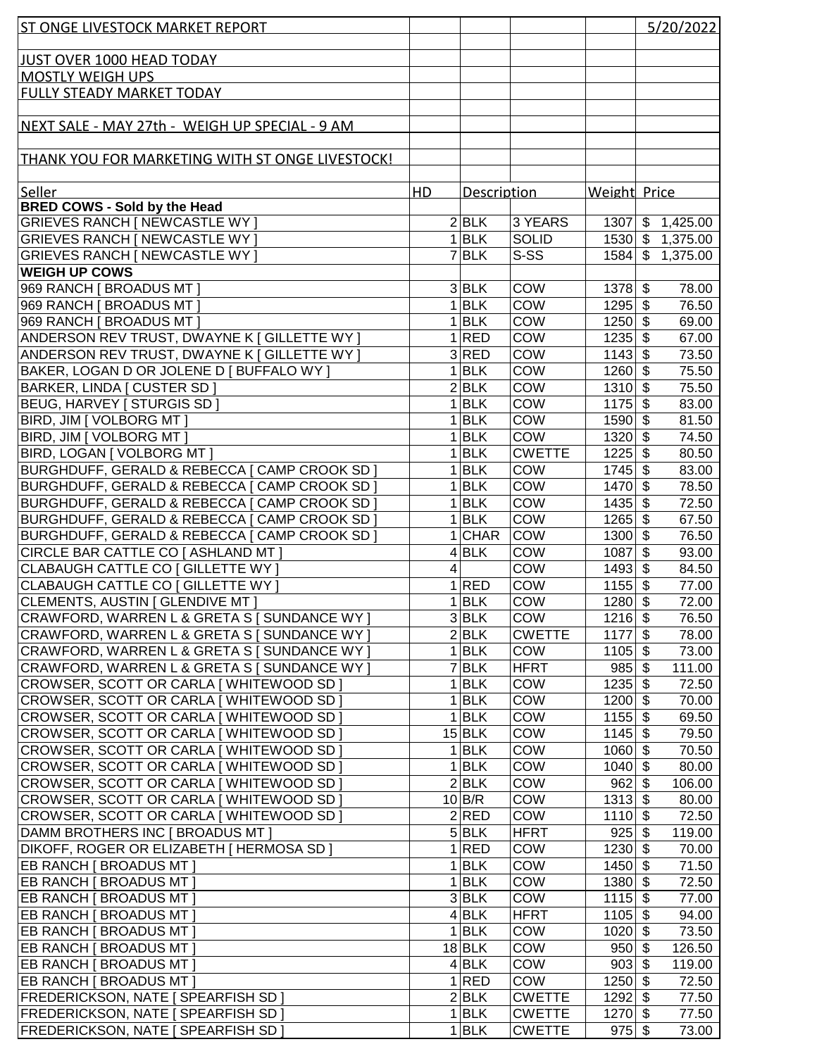| ST ONGE LIVESTOCK MARKET REPORT                                              |                |                           |                             |                        | 5/20/2022                  |                 |
|------------------------------------------------------------------------------|----------------|---------------------------|-----------------------------|------------------------|----------------------------|-----------------|
|                                                                              |                |                           |                             |                        |                            |                 |
| JUST OVER 1000 HEAD TODAY                                                    |                |                           |                             |                        |                            |                 |
| <b>MOSTLY WEIGH UPS</b>                                                      |                |                           |                             |                        |                            |                 |
| <b>FULLY STEADY MARKET TODAY</b>                                             |                |                           |                             |                        |                            |                 |
|                                                                              |                |                           |                             |                        |                            |                 |
| NEXT SALE - MAY 27th - WEIGH UP SPECIAL - 9 AM                               |                |                           |                             |                        |                            |                 |
|                                                                              |                |                           |                             |                        |                            |                 |
| THANK YOU FOR MARKETING WITH ST ONGE LIVESTOCK!                              |                |                           |                             |                        |                            |                 |
| Seller                                                                       | H <sub>D</sub> | Description               |                             | Weight Price           |                            |                 |
| <b>BRED COWS - Sold by the Head</b>                                          |                |                           |                             |                        |                            |                 |
| GRIEVES RANCH [ NEWCASTLE WY ]                                               |                | 2 BLK                     | 3 YEARS                     |                        | 1307 \$ 1,425.00           |                 |
| <b>GRIEVES RANCH [ NEWCASTLE WY ]</b>                                        |                | $1$ <b>BLK</b>            | <b>SOLID</b>                |                        | 1530 \$ 1,375.00           |                 |
| <b>GRIEVES RANCH [ NEWCASTLE WY ]</b>                                        |                | $7$ $BLK$                 | S-SS                        | 1584                   | $\mathfrak{S}$<br>1,375.00 |                 |
| <b>WEIGH UP COWS</b>                                                         |                |                           |                             |                        |                            |                 |
| 969 RANCH [ BROADUS MT ]                                                     |                | $3$ <b>BLK</b>            | <b>COW</b>                  | $1378$ \$              |                            | 78.00           |
| 969 RANCH [ BROADUS MT ]                                                     |                | $1$ <b>BLK</b>            | <b>COW</b>                  | $1295$ \$              |                            | 76.50           |
| 969 RANCH [ BROADUS MT ]                                                     |                | $1$ <b>BLK</b>            | <b>COW</b>                  | $1250$ \$              |                            | 69.00           |
| ANDERSON REV TRUST, DWAYNE K [ GILLETTE WY ]                                 |                | 1 RED                     | <b>COW</b>                  | $1235$ \$              |                            | 67.00           |
| ANDERSON REV TRUST, DWAYNE K [ GILLETTE WY ]                                 |                | 3 RED                     | COW                         | $1143$ \$              |                            | 73.50           |
| BAKER, LOGAN D OR JOLENE D [ BUFFALO WY ]                                    |                | $1$ <b>BLK</b>            | COW                         | $1260$ \$              |                            | 75.50           |
| <b>BARKER, LINDA [ CUSTER SD ]</b>                                           |                | $2$ <b>BLK</b>            | COW                         | $1310$ \$              |                            | 75.50           |
| BEUG, HARVEY   STURGIS SD                                                    |                | $1$ <b>BLK</b>            | COW                         | $1175$ \$              |                            | 83.00           |
| BIRD, JIM [ VOLBORG MT ]                                                     |                | $1$ <b>BLK</b>            | COW                         | 1590 \$                |                            | 81.50           |
| BIRD, JIM [ VOLBORG MT ]                                                     |                | $1$ <b>BLK</b><br>$1$ BLK | <b>COW</b><br><b>CWETTE</b> | $1320$ \$<br>$1225$ \$ |                            | 74.50           |
| BIRD, LOGAN   VOLBORG MT  <br>BURGHDUFF, GERALD & REBECCA [ CAMP CROOK SD ]  |                | $1$ <b>BLK</b>            | COW                         | $1745$ \$              |                            | 80.50<br>83.00  |
| BURGHDUFF, GERALD & REBECCA [ CAMP CROOK SD ]                                |                | $1$ <b>BLK</b>            | COW                         | 1470 \$                |                            | 78.50           |
| BURGHDUFF, GERALD & REBECCA   CAMP CROOK SD                                  |                | $1$ <b>BLK</b>            | COW                         | $1435$ \$              |                            | 72.50           |
| BURGHDUFF, GERALD & REBECCA   CAMP CROOK SD                                  |                | $1$ <b>BLK</b>            | COW                         | 1265                   | $\sqrt[6]{\frac{1}{2}}$    | 67.50           |
| BURGHDUFF, GERALD & REBECCA [ CAMP CROOK SD ]                                |                | $1$ CHAR                  | <b>COW</b>                  | 1300                   | $\sqrt[6]{\frac{1}{2}}$    | 76.50           |
| CIRCLE BAR CATTLE CO [ ASHLAND MT ]                                          |                | $4$ BLK                   | COW                         | 1087                   | $\sqrt[6]{\frac{1}{2}}$    | 93.00           |
| CLABAUGH CATTLE CO   GILLETTE WY                                             | 4              |                           | COW                         | $1493$ \$              |                            | 84.50           |
| CLABAUGH CATTLE CO [ GILLETTE WY ]                                           |                | 1 RED                     | COW                         | $1155$ \$              |                            | 77.00           |
| CLEMENTS, AUSTIN [ GLENDIVE MT ]                                             |                | $1$ <b>BLK</b>            | COW                         | $1280$ \$              |                            | 72.00           |
| CRAWFORD, WARREN L & GRETA S [ SUNDANCE WY ]                                 |                | $3$ <b>BLK</b>            | <b>COW</b>                  | $1216$ \$              |                            | 76.50           |
| CRAWFORD, WARREN L & GRETA S [ SUNDANCE WY ]                                 |                | 2 BLK                     | <b>CWETTE</b>               | $1177$ \$              |                            | 78.00           |
| CRAWFORD, WARREN L & GRETA S [ SUNDANCE WY ]                                 |                | $1$ <b>BLK</b>            | <b>COW</b>                  | $1105$ \$              |                            | 73.00           |
| CRAWFORD, WARREN L & GRETA S [ SUNDANCE WY ]                                 |                | 7 BLK                     | <b>HFRT</b>                 | $985$ \$               |                            | 111.00          |
| CROWSER, SCOTT OR CARLA [ WHITEWOOD SD]                                      |                | $1$ <b>BLK</b>            | <b>COW</b>                  | $1235$ \$              |                            | 72.50           |
| CROWSER, SCOTT OR CARLA [ WHITEWOOD SD ]                                     |                | $1$ <b>BLK</b>            | <b>COW</b>                  | 1200 \$                |                            | 70.00           |
| CROWSER, SCOTT OR CARLA [ WHITEWOOD SD ]                                     |                | $1$ <b>BLK</b>            | COW                         | $1155$ \$              |                            | 69.50           |
| CROWSER, SCOTT OR CARLA [ WHITEWOOD SD ]                                     |                | $15$ BLK                  | COW                         | $1145$ \$              |                            | 79.50           |
| CROWSER, SCOTT OR CARLA [ WHITEWOOD SD ]                                     |                | $1$ <b>BLK</b>            | COW                         | $1060$ \$              |                            | 70.50           |
| CROWSER, SCOTT OR CARLA [ WHITEWOOD SD ]                                     |                | $1$ <b>BLK</b>            | COW                         | $1040$ \$              |                            | 80.00           |
| CROWSER, SCOTT OR CARLA [ WHITEWOOD SD ]                                     |                | $2$ <b>BLK</b>            | <b>COW</b>                  | 962                    | $\boldsymbol{\mathsf{S}}$  | 106.00          |
| CROWSER, SCOTT OR CARLA [ WHITEWOOD SD ]                                     |                | $10$ B/R<br>$2$ RED       | <b>COW</b><br><b>COW</b>    | 1313                   | $\boldsymbol{\mathsf{S}}$  | 80.00           |
| CROWSER, SCOTT OR CARLA [ WHITEWOOD SD ]<br>DAMM BROTHERS INC [ BROADUS MT ] |                | $5$ BLK                   | <b>HFRT</b>                 | $1110$ \$<br>925       | $\boldsymbol{\mathsf{S}}$  | 72.50<br>119.00 |
| DIKOFF, ROGER OR ELIZABETH   HERMOSA SD ]                                    |                | 1 RED                     | <b>COW</b>                  | $1230$ \$              |                            | 70.00           |
| EB RANCH [ BROADUS MT ]                                                      |                | $1$ <b>BLK</b>            | <b>COW</b>                  | $1450$ \$              |                            | 71.50           |
| EB RANCH [ BROADUS MT ]                                                      |                | $1$ <b>BLK</b>            | <b>COW</b>                  | $1380$ \$              |                            | 72.50           |
| EB RANCH [ BROADUS MT ]                                                      |                | 3 BLK                     | <b>COW</b>                  | $1115$ \$              |                            | 77.00           |
| EB RANCH [ BROADUS MT ]                                                      |                | 4 BLK                     | HFRT                        | 1105                   | $\boldsymbol{\mathsf{S}}$  | 94.00           |
| EB RANCH [ BROADUS MT ]                                                      |                | $1$ <b>BLK</b>            | <b>COW</b>                  | 1020                   | $\boldsymbol{\mathsf{s}}$  | 73.50           |
| EB RANCH [ BROADUS MT ]                                                      |                | $18$ BLK                  | <b>COW</b>                  | 950                    | $\boldsymbol{\mathsf{s}}$  | 126.50          |
| <b>EB RANCH [ BROADUS MT ]</b>                                               |                | $4$ BLK                   | <b>COW</b>                  | $903$ \$               |                            | 119.00          |
| <b>EB RANCH [ BROADUS MT ]</b>                                               |                | 1 RED                     | <b>COW</b>                  | $1250$ \$              |                            | 72.50           |
| <b>FREDERICKSON, NATE [ SPEARFISH SD ]</b>                                   |                | 2 BLK                     | <b>CWETTE</b>               | $1292$ \$              |                            | 77.50           |
| <b>FREDERICKSON, NATE [ SPEARFISH SD ]</b>                                   |                | $1$ <b>BLK</b>            | <b>CWETTE</b>               | $1270$ \$              |                            | 77.50           |
| <b>FREDERICKSON, NATE [ SPEARFISH SD ]</b>                                   |                | $1$ <b>BLK</b>            | <b>CWETTE</b>               | $975$ \$               |                            | 73.00           |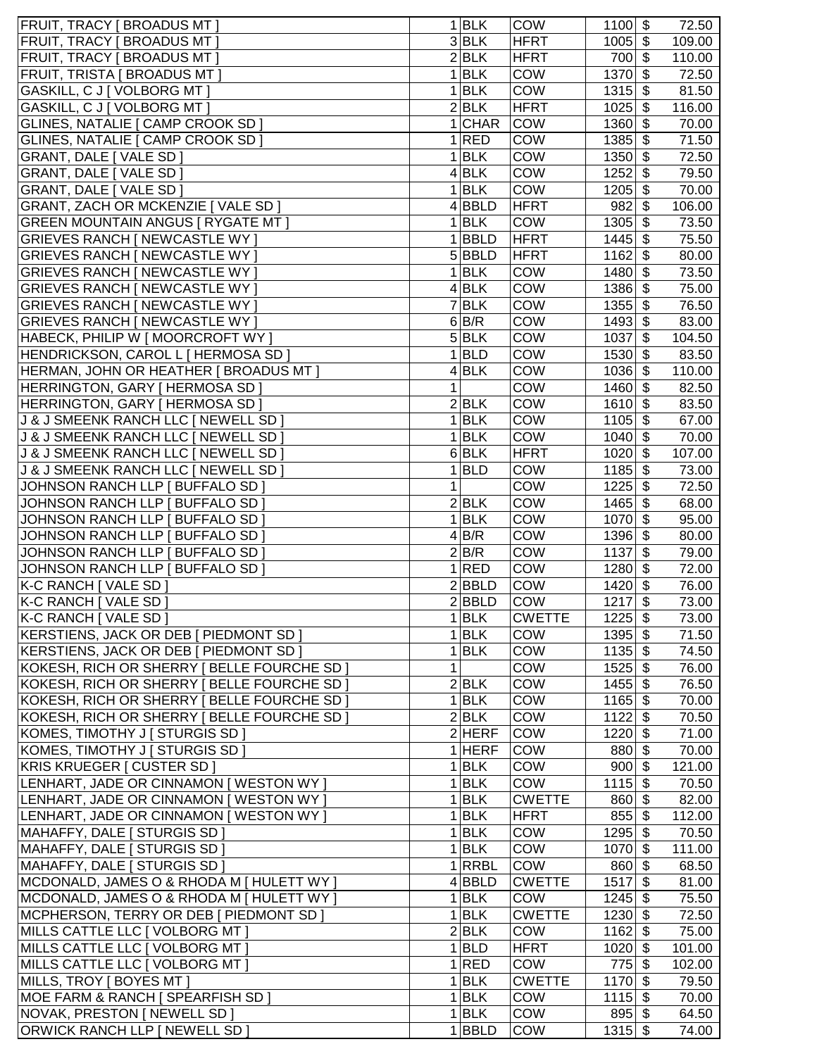| <b>FRUIT, TRACY [ BROADUS MT ]</b>          |   | $1$ <b>BLK</b>            | <b>COW</b>    | $1100$ \$ |                           | 72.50  |
|---------------------------------------------|---|---------------------------|---------------|-----------|---------------------------|--------|
| <b>FRUIT, TRACY [ BROADUS MT ]</b>          |   | $3$ <b>BLK</b>            | <b>HFRT</b>   | $1005$ \$ |                           | 109.00 |
| <b>FRUIT, TRACY [ BROADUS MT ]</b>          |   | 2 BLK                     | <b>HFRT</b>   | 700 \$    |                           | 110.00 |
| <b>FRUIT, TRISTA [ BROADUS MT ]</b>         |   | $1$ <b>BLK</b>            | <b>COW</b>    | $1370$ \$ |                           | 72.50  |
| GASKILL, C J [ VOLBORG MT ]                 |   | $1$ <b>BLK</b>            | <b>COW</b>    | $1315$ \$ |                           | 81.50  |
| GASKILL, C J   VOLBORG MT                   |   | 2 BLK                     | <b>HFRT</b>   | $1025$ \$ |                           | 116.00 |
| GLINES, NATALIE [ CAMP CROOK SD             |   | $1$ CHAR                  | <b>COW</b>    | $1360$ \$ |                           | 70.00  |
| GLINES, NATALIE [ CAMP CROOK SD ]           |   | 1 RED                     | COW           | $1385$ \$ |                           | 71.50  |
| GRANT, DALE [ VALE SD ]                     |   | $1$ <b>BLK</b>            | COW           | $1350$ \$ |                           | 72.50  |
| GRANT, DALE [ VALE SD ]                     |   | $4$ BLK                   | COW           | 1252      | \$                        | 79.50  |
| GRANT, DALE [ VALE SD ]                     |   | $1$ <b>BLK</b>            | COW           | $1205$ \$ |                           | 70.00  |
| <b>GRANT, ZACH OR MCKENZIE [ VALE SD ]</b>  |   | 4 BBLD                    | <b>HFRT</b>   | $982 \ 3$ |                           | 106.00 |
| <b>GREEN MOUNTAIN ANGUS [ RYGATE MT ]</b>   |   | $1$ <b>BLK</b>            | <b>COW</b>    | $1305$ \$ |                           | 73.50  |
| <b>GRIEVES RANCH [ NEWCASTLE WY ]</b>       |   | $1$ <b>BBLD</b>           | <b>HFRT</b>   | $1445$ \$ |                           | 75.50  |
|                                             |   |                           |               | $1162$ \$ |                           |        |
| <b>GRIEVES RANCH [ NEWCASTLE WY ]</b>       |   | 5BBLD                     | <b>HFRT</b>   |           |                           | 80.00  |
| <b>GRIEVES RANCH [ NEWCASTLE WY ]</b>       |   | $1$ <b>BLK</b>            | <b>COW</b>    | 1480      | \$                        | 73.50  |
| <b>GRIEVES RANCH [ NEWCASTLE WY ]</b>       |   | $4$ <b>BLK</b>            | <b>COW</b>    | $1386$ \$ |                           | 75.00  |
| <b>GRIEVES RANCH [ NEWCASTLE WY ]</b>       |   | 7 BLK                     | <b>COW</b>    | $1355$ \$ |                           | 76.50  |
| <b>GRIEVES RANCH [ NEWCASTLE WY ]</b>       |   | 6 B/R                     | <b>COW</b>    | 1493      | $\boldsymbol{\mathsf{S}}$ | 83.00  |
| HABECK, PHILIP W [ MOORCROFT WY ]           |   | 5 BLK                     | <b>COW</b>    | 1037      | \$                        | 104.50 |
| HENDRICKSON, CAROL L [ HERMOSA SD ]         |   | $1$ <b>BLD</b>            | <b>COW</b>    | $1530$ \$ |                           | 83.50  |
| HERMAN, JOHN OR HEATHER [ BROADUS MT ]      |   | $4$ <b>BLK</b>            | <b>COW</b>    | $1036$ \$ |                           | 110.00 |
| HERRINGTON, GARY   HERMOSA SD ]             | 1 |                           | COW           | 1460 \$   |                           | 82.50  |
| HERRINGTON, GARY   HERMOSA SD               |   | 2 BLK                     | COW           | $1610$ \$ |                           | 83.50  |
| J & J SMEENK RANCH LLC [ NEWELL SD ]        |   | $1$ <b>BLK</b>            | COW           | $1105$ \$ |                           | 67.00  |
| J & J SMEENK RANCH LLC [ NEWELL SD ]        |   | $1$ <b>BLK</b>            | COW           | $1040$ \$ |                           | 70.00  |
| J & J SMEENK RANCH LLC [ NEWELL SD ]        |   | $6$ BLK                   | <b>HFRT</b>   | $1020$ \$ |                           | 107.00 |
| J & J SMEENK RANCH LLC [ NEWELL SD ]        |   | $1$ <b>BLD</b>            | COW           | $1185$ \$ |                           | 73.00  |
| JOHNSON RANCH LLP [ BUFFALO SD ]            | 1 |                           | COW           | $1225$ \$ |                           | 72.50  |
| JOHNSON RANCH LLP [ BUFFALO SD ]            |   | 2 BLK                     | COW           | $1465$ \$ |                           | 68.00  |
| JOHNSON RANCH LLP [ BUFFALO SD ]            |   | $\overline{1}$ <b>BLK</b> | COW           | $1070$ \$ |                           | 95.00  |
| JOHNSON RANCH LLP [ BUFFALO SD ]            |   | $4$ B/R                   | COW           | $1396$ \$ |                           | 80.00  |
| JOHNSON RANCH LLP [ BUFFALO SD ]            |   | 2 B/R                     | COW           | $1137$ \$ |                           | 79.00  |
| JOHNSON RANCH LLP [ BUFFALO SD ]            |   | 1 RED                     | COW           | $1280$ \$ |                           | 72.00  |
| K-C RANCH [ VALE SD ]                       |   | 2 BBLD                    | COW           | 1420      | \$                        | 76.00  |
| K-C RANCH [ VALE SD ]                       |   | 2 BBLD                    | <b>COW</b>    | 1217      | \$                        | 73.00  |
| K-C RANCH [ VALE SD ]                       |   | 1 BLK                     | <b>CWETTE</b> | $1225$ \$ |                           | 73.00  |
| KERSTIENS, JACK OR DEB   PIEDMONT SD        |   | $1$ <b>BLK</b>            | <b>COW</b>    | $1395$ \$ |                           | 71.50  |
| KERSTIENS, JACK OR DEB   PIEDMONT SD        |   | $1$ <b>BLK</b>            | COW           | $1135$ \$ |                           | 74.50  |
| KOKESH, RICH OR SHERRY   BELLE FOURCHE SD   | 1 |                           | COW           | $1525$ \$ |                           | 76.00  |
| KOKESH, RICH OR SHERRY   BELLE FOURCHE SD ] |   | 2 BLK                     | <b>COW</b>    | $1455$ \$ |                           | 76.50  |
| KOKESH, RICH OR SHERRY   BELLE FOURCHE SD ] |   | 1 BLK                     | COW           | $1165$ \$ |                           | 70.00  |
| KOKESH, RICH OR SHERRY [ BELLE FOURCHE SD ] |   | $2$ <b>BLK</b>            | COW           | $1122$ \$ |                           | 70.50  |
| KOMES, TIMOTHY J   STURGIS SD <sup>-</sup>  |   | $2$ HERF                  | <b>COW</b>    | $1220$ \$ |                           | 71.00  |
| KOMES, TIMOTHY J [ STURGIS SD ]             |   | $1$ HERF                  | <b>COW</b>    | 880 \$    |                           | 70.00  |
| KRIS KRUEGER [ CUSTER SD ]                  |   | $1$ <b>BLK</b>            | <b>COW</b>    | $900$ \$  |                           | 121.00 |
| LENHART, JADE OR CINNAMON [ WESTON WY ]     |   | $1$ <b>BLK</b>            | COW           | $1115$ \$ |                           | 70.50  |
| LENHART, JADE OR CINNAMON [ WESTON WY ]     |   | $1$ <b>BLK</b>            | <b>CWETTE</b> | $860 $ \$ |                           | 82.00  |
| LENHART, JADE OR CINNAMON [ WESTON WY ]     |   | $1$ <b>BLK</b>            | <b>HFRT</b>   | $855$ \$  |                           | 112.00 |
| MAHAFFY, DALE   STURGIS SD                  |   | $1$ <b>BLK</b>            | <b>COW</b>    | $1295$ \$ |                           | 70.50  |
| MAHAFFY, DALE [ STURGIS SD ]                |   | $1$ <b>BLK</b>            | <b>COW</b>    | $1070$ \$ |                           | 111.00 |
| MAHAFFY, DALE [ STURGIS SD ]                |   | $1$ RRBL                  | <b>COW</b>    | $860 $ \$ |                           | 68.50  |
| MCDONALD, JAMES O & RHODA M [ HULETT WY ]   |   | 4 BBLD                    | <b>CWETTE</b> | 1517 \$   |                           | 81.00  |
| MCDONALD, JAMES O & RHODA M   HULETT WY ]   |   | 1 BLK                     | <b>COW</b>    | $1245$ \$ |                           | 75.50  |
| MCPHERSON, TERRY OR DEB [ PIEDMONT SD ]     |   | $1$ <b>BLK</b>            | <b>CWETTE</b> | $1230$ \$ |                           | 72.50  |
|                                             |   |                           |               |           |                           |        |
| MILLS CATTLE LLC [ VOLBORG MT ]             |   | 2 BLK                     | <b>COW</b>    | 1162 \$   |                           | 75.00  |
| MILLS CATTLE LLC [ VOLBORG MT ]             |   | $1 $ BLD                  | <b>HFRT</b>   | $1020$ \$ |                           | 101.00 |
| MILLS CATTLE LLC [ VOLBORG MT ]             |   | 1 RED                     | <b>COW</b>    | $775$ \$  |                           | 102.00 |
| MILLS, TROY [ BOYES MT ]                    |   | 1 BLK                     | <b>CWETTE</b> | $1170$ \$ |                           | 79.50  |
| MOE FARM & RANCH [ SPEARFISH SD ]           |   | $1$ <b>BLK</b>            | <b>COW</b>    | $1115$ \$ |                           | 70.00  |
| NOVAK, PRESTON   NEWELL SD                  |   | $1$ <b>BLK</b>            | COW           | $895$ \$  |                           | 64.50  |
| ORWICK RANCH LLP [ NEWELL SD ]              |   | $1$ <b>BBLD</b>           | <b>COW</b>    | $1315$ \$ |                           | 74.00  |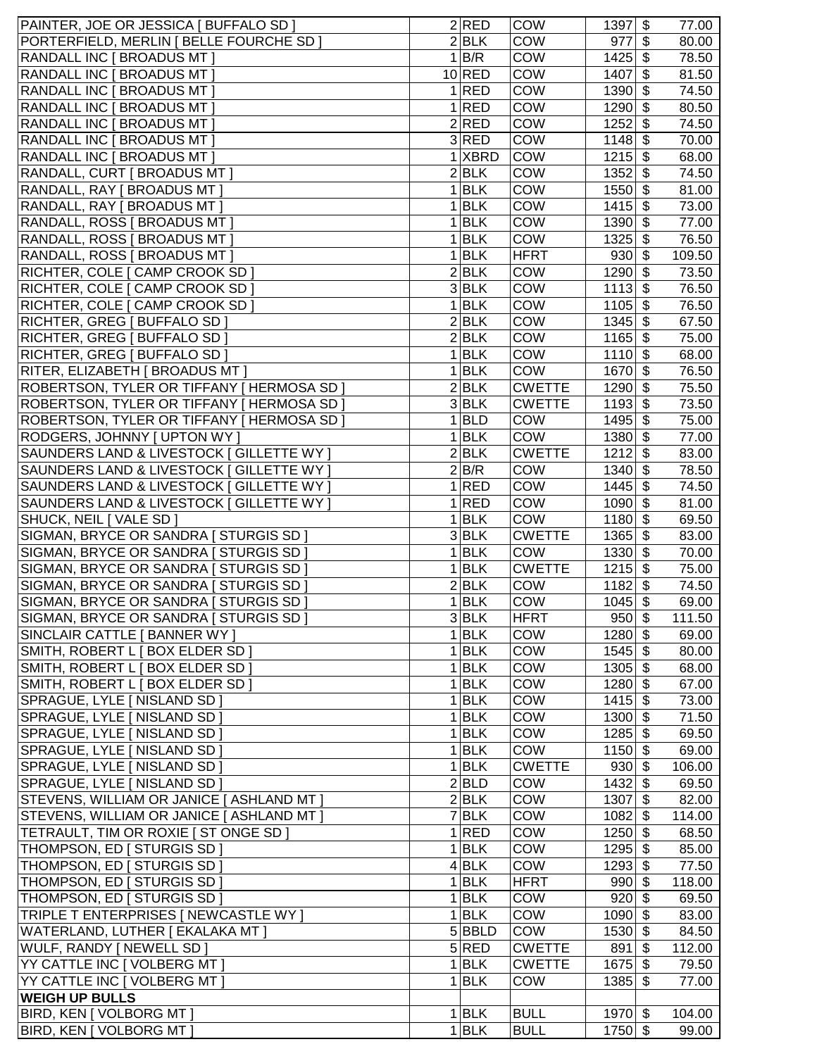| PAINTER, JOE OR JESSICA [ BUFFALO SD ]     | 2 RED              | COW           | $1397$ \$            | 77.00  |
|--------------------------------------------|--------------------|---------------|----------------------|--------|
| PORTERFIELD, MERLIN   BELLE FOURCHE SD     | 2 BLK              | <b>COW</b>    | $977$ \$             | 80.00  |
| <b>RANDALL INC [ BROADUS MT ]</b>          | 1 B/R              | COW           | $1425$ \$            | 78.50  |
| RANDALL INC [ BROADUS MT ]                 | $10$ RED           | <b>COW</b>    | $1407$ \$            | 81.50  |
| <b>RANDALL INC [ BROADUS MT ]</b>          | 1 RED              | <b>COW</b>    | $1390$ \$            | 74.50  |
| <b>RANDALL INC [ BROADUS MT ]</b>          | 1 RED              | COW           | $1290$ \$            | 80.50  |
| <b>RANDALL INC [ BROADUS MT ]</b>          | 2 RED              | <b>COW</b>    | $1252$ \$            | 74.50  |
| RANDALL INC [ BROADUS MT ]                 | 3 RED              | <b>COW</b>    | $1148$ \$            | 70.00  |
| <b>RANDALL INC [ BROADUS MT ]</b>          | $1$ $X$ BRD        | <b>COW</b>    | $1215$ \$            | 68.00  |
| <b>RANDALL, CURT [ BROADUS MT ]</b>        | $2$ <b>BLK</b>     | <b>COW</b>    | $1352$ \$            | 74.50  |
| <b>RANDALL, RAY [ BROADUS MT ]</b>         | $1$ <b>BLK</b>     | <b>COW</b>    | 1550 \$              | 81.00  |
| <b>RANDALL, RAY [ BROADUS MT ]</b>         | $1$ BLK            | <b>COW</b>    | $1415$ \$            | 73.00  |
| RANDALL, ROSS [ BROADUS MT ]               | $1$ <b>BLK</b>     | <b>COW</b>    | 1390 \$              | 77.00  |
| RANDALL, ROSS [ BROADUS MT ]               | $1$ <b>BLK</b>     | COW           | $1325$ \$            | 76.50  |
| RANDALL, ROSS [ BROADUS MT ]               | $1$ <b>BLK</b>     | <b>HFRT</b>   | $930 $ \$            | 109.50 |
| RICHTER, COLE [ CAMP CROOK SD ]            | 2 BLK              | <b>COW</b>    | 1290 \$              | 73.50  |
| RICHTER, COLE [ CAMP CROOK SD ]            | $3$ BLK            | <b>COW</b>    | $1113$ \$            | 76.50  |
| RICHTER, COLE [ CAMP CROOK SD ]            | $1$ <b>BLK</b>     | <b>COW</b>    | $1105$ \$            | 76.50  |
| RICHTER, GREG [ BUFFALO SD ]               | $2$ <b>BLK</b>     | <b>COW</b>    | $1345$ \$            | 67.50  |
| RICHTER, GREG   BUFFALO SD                 | 2 BLK              | COW           | $1165$ \$            | 75.00  |
| RICHTER, GREG   BUFFALO SD                 | $1$ <b>BLK</b>     | <b>COW</b>    | $1110$ \$            | 68.00  |
| RITER, ELIZABETH [ BROADUS MT ]            | $1$ <b>BLK</b>     | <b>COW</b>    | $1670$ \$            | 76.50  |
| ROBERTSON, TYLER OR TIFFANY   HERMOSA SD   | $2$ <b>BLK</b>     | <b>CWETTE</b> | $1290$ \$            | 75.50  |
| ROBERTSON, TYLER OR TIFFANY   HERMOSA SD   | 3 BLK              | <b>CWETTE</b> | $1193$ \$            | 73.50  |
| ROBERTSON, TYLER OR TIFFANY [ HERMOSA SD ] | $1 $ BLD           | <b>COW</b>    | $1495$ \$            | 75.00  |
| RODGERS, JOHNNY [ UPTON WY ]               | 1 BLK              | <b>COW</b>    | $1380$ \$            | 77.00  |
| SAUNDERS LAND & LIVESTOCK [ GILLETTE WY ]  | 2 BLK              | <b>CWETTE</b> | $1212$ \$            | 83.00  |
| SAUNDERS LAND & LIVESTOCK [ GILLETTE WY ]  | 2 B/R              | <b>COW</b>    | 1340 \$              | 78.50  |
| SAUNDERS LAND & LIVESTOCK [ GILLETTE WY ]  | 1 RED              | <b>COW</b>    | $1445$ \$            | 74.50  |
| SAUNDERS LAND & LIVESTOCK [ GILLETTE WY ]  | 1 RED              | <b>COW</b>    | 1090 \$              | 81.00  |
| SHUCK, NEIL [ VALE SD ]                    | $1$ <b>BLK</b>     | <b>COW</b>    | 1180 \$              | 69.50  |
| SIGMAN, BRYCE OR SANDRA [ STURGIS SD ]     | 3 BLK              | <b>CWETTE</b> | $1365$ \$            | 83.00  |
| SIGMAN, BRYCE OR SANDRA [ STURGIS SD ]     | 1 BLK              | COW           | $1330$ \$            | 70.00  |
| SIGMAN, BRYCE OR SANDRA [ STURGIS SD ]     | 1 BLK              | <b>CWETTE</b> | $1215$ \$            | 75.00  |
| SIGMAN, BRYCE OR SANDRA [ STURGIS SD ]     | $2$ <b>BLK</b>     | <b>COW</b>    | $1182$ \$            | 74.50  |
| SIGMAN, BRYCE OR SANDRA [ STURGIS SD ]     | $\overline{1}$ BLK | COW           | $1045 \overline{\$}$ | 69.00  |
| SIGMAN, BRYCE OR SANDRA [ STURGIS SD ]     | $3$ BLK            | <b>HFRT</b>   | $950$ \$             | 111.50 |
| SINCLAIR CATTLE [ BANNER WY ]              | $1$ BLK            | <b>COW</b>    | 1280 \$              | 69.00  |
| SMITH, ROBERT L [ BOX ELDER SD ]           | $1$ BLK            | <b>COW</b>    | 1545 \$              | 80.00  |
| SMITH, ROBERT L [ BOX ELDER SD ]           | 1 BLK              | <b>COW</b>    | $1305$ \$            | 68.00  |
| SMITH, ROBERT L [ BOX ELDER SD ]           | 1 BLK              | <b>COW</b>    | $1280$ \$            | 67.00  |
| SPRAGUE, LYLE [ NISLAND SD ]               | 1 BLK              | <b>COW</b>    | $1415$ \$            | 73.00  |
| SPRAGUE, LYLE [ NISLAND SD ]               | 1 BLK              | <b>COW</b>    | $1300$ \$            | 71.50  |
| SPRAGUE, LYLE [ NISLAND SD ]               | $1$ <b>BLK</b>     | <b>COW</b>    | $1285$ \$            | 69.50  |
| SPRAGUE, LYLE [ NISLAND SD ]               | $1$ <b>BLK</b>     | <b>COW</b>    | $1150$ \$            | 69.00  |
| SPRAGUE, LYLE [ NISLAND SD ]               | $1$ <b>BLK</b>     | <b>CWETTE</b> | $930$ \$             | 106.00 |
| SPRAGUE, LYLE [ NISLAND SD ]               | 2 BLD              | <b>COW</b>    | $1432$ \$            | 69.50  |
| STEVENS, WILLIAM OR JANICE [ ASHLAND MT ]  | 2 BLK              | <b>COW</b>    | 1307 \$              | 82.00  |
| STEVENS, WILLIAM OR JANICE [ ASHLAND MT ]  | $7$ $BLK$          | <b>COW</b>    | 1082 \$              | 114.00 |
| TETRAULT, TIM OR ROXIE [ ST ONGE SD ]      | 1 RED              | <b>COW</b>    | $1250$ \$            | 68.50  |
| THOMPSON, ED [ STURGIS SD ]                | 1 BLK              | <b>COW</b>    | $1295$ \$            | 85.00  |
| THOMPSON, ED [ STURGIS SD ]                | $4$ BLK            | <b>COW</b>    | $1293$ \$            | 77.50  |
| THOMPSON, ED   STURGIS SD                  | $1$ <b>BLK</b>     | <b>HFRT</b>   | $990 $ \$            | 118.00 |
| THOMPSON, ED [ STURGIS SD ]                | $1$ <b>BLK</b>     | <b>COW</b>    | $920 $ \$            | 69.50  |
| TRIPLE T ENTERPRISES [ NEWCASTLE WY ]      | $1$ <b>BLK</b>     | <b>COW</b>    | 1090 \$              | 83.00  |
| WATERLAND, LUTHER   EKALAKA MT ]           | $5 $ BBLD          | COW           | 1530 \$              | 84.50  |
| WULF, RANDY [ NEWELL SD ]                  | 5 RED              | <b>CWETTE</b> | 891 \$               | 112.00 |
| YY CATTLE INC [ VOLBERG MT ]               | 1 BLK              | <b>CWETTE</b> | 1675 \$              | 79.50  |
| YY CATTLE INC [ VOLBERG MT ]               | 1 BLK              | <b>COW</b>    | $1385$ \$            | 77.00  |
| <b>WEIGH UP BULLS</b>                      |                    |               |                      |        |
| BIRD, KEN [ VOLBORG MT ]                   | 1 BLK              | <b>BULL</b>   | $1970$ \$            | 104.00 |
| <b>BIRD, KEN [ VOLBORG MT ]</b>            | $1$ <b>BLK</b>     | <b>BULL</b>   | $1750$ \$            | 99.00  |
|                                            |                    |               |                      |        |